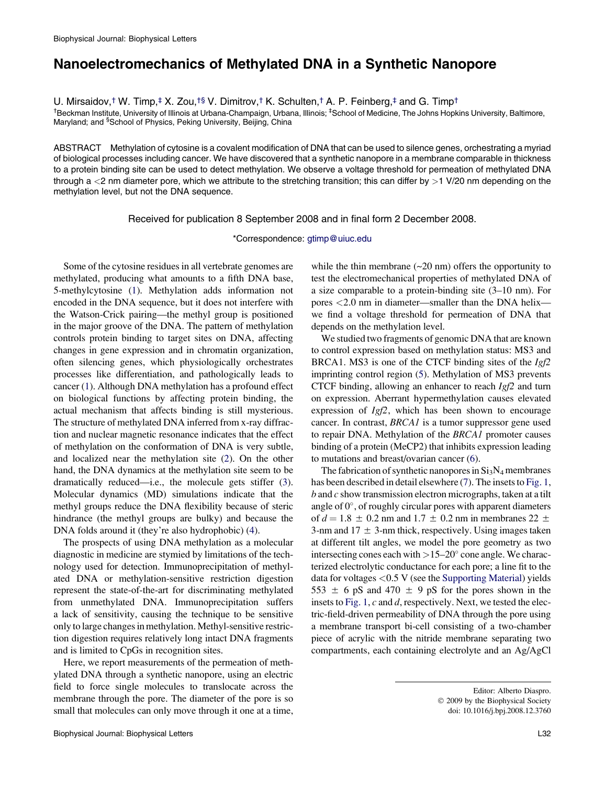## Nanoelectromechanics of Methylated DNA in a Synthetic Nanopore

U. Mirsaidov,† W. Timp,‡ X. Zou,†§ V. Dimitrov,† K. Schulten,† A. P. Feinberg,‡ and G. Timp†

<sup>†</sup>Beckman Institute, University of Illinois at Urbana-Champaign, Urbana, Illinois; <sup>‡</sup>School of Medicine, The Johns Hopkins University, Baltimore, Maryland; and <sup>§</sup>School of Physics, Peking University, Beijing, China

ABSTRACT Methylation of cytosine is a covalent modification of DNA that can be used to silence genes, orchestrating a myriad of biological processes including cancer. We have discovered that a synthetic nanopore in a membrane comparable in thickness to a protein binding site can be used to detect methylation. We observe a voltage threshold for permeation of methylated DNA through a  $<$  2 nm diameter pore, which we attribute to the stretching transition; this can differ by  $>$  1 V/20 nm depending on the methylation level, but not the DNA sequence.

Received for publication 8 September 2008 and in final form 2 December 2008.

\*Correspondence: [gtimp@uiuc.edu](mailto:gtimp@uiuc.edu)

Some of the cytosine residues in all vertebrate genomes are methylated, producing what amounts to a fifth DNA base, 5-methylcytosine [\(1](#page-2-0)). Methylation adds information not encoded in the DNA sequence, but it does not interfere with the Watson-Crick pairing—the methyl group is positioned in the major groove of the DNA. The pattern of methylation controls protein binding to target sites on DNA, affecting changes in gene expression and in chromatin organization, often silencing genes, which physiologically orchestrates processes like differentiation, and pathologically leads to cancer [\(1](#page-2-0)). Although DNA methylation has a profound effect on biological functions by affecting protein binding, the actual mechanism that affects binding is still mysterious. The structure of methylated DNA inferred from x-ray diffraction and nuclear magnetic resonance indicates that the effect of methylation on the conformation of DNA is very subtle, and localized near the methylation site ([2\)](#page-2-0). On the other hand, the DNA dynamics at the methylation site seem to be dramatically reduced—i.e., the molecule gets stiffer ([3\)](#page-2-0). Molecular dynamics (MD) simulations indicate that the methyl groups reduce the DNA flexibility because of steric hindrance (the methyl groups are bulky) and because the DNA folds around it (they're also hydrophobic) ([4\)](#page-2-0).

The prospects of using DNA methylation as a molecular diagnostic in medicine are stymied by limitations of the technology used for detection. Immunoprecipitation of methylated DNA or methylation-sensitive restriction digestion represent the state-of-the-art for discriminating methylated from unmethylated DNA. Immunoprecipitation suffers a lack of sensitivity, causing the technique to be sensitive only to large changes in methylation. Methyl-sensitive restriction digestion requires relatively long intact DNA fragments and is limited to CpGs in recognition sites.

Here, we report measurements of the permeation of methylated DNA through a synthetic nanopore, using an electric field to force single molecules to translocate across the membrane through the pore. The diameter of the pore is so small that molecules can only move through it one at a time, while the thin membrane  $(\sim 20 \text{ nm})$  offers the opportunity to test the electromechanical properties of methylated DNA of a size comparable to a protein-binding site (3–10 nm). For pores <2.0 nm in diameter—smaller than the DNA helix we find a voltage threshold for permeation of DNA that depends on the methylation level.

We studied two fragments of genomic DNA that are known to control expression based on methylation status: MS3 and BRCA1. MS3 is one of the CTCF binding sites of the Igf2 imprinting control region ([5\)](#page-2-0). Methylation of MS3 prevents CTCF binding, allowing an enhancer to reach Igf2 and turn on expression. Aberrant hypermethylation causes elevated expression of Igf2, which has been shown to encourage cancer. In contrast, BRCA1 is a tumor suppressor gene used to repair DNA. Methylation of the BRCA1 promoter causes binding of a protein (MeCP2) that inhibits expression leading to mutations and breast/ovarian cancer ([6\)](#page-2-0).

The fabrication of synthetic nanopores in  $Si<sub>3</sub>N<sub>4</sub>$  membranes has been described in detail elsewhere [\(7](#page-2-0)). The insets to [Fig. 1](#page-1-0),  $b$  and  $c$  show transmission electron micrographs, taken at a tilt angle of  $0^\circ$ , of roughly circular pores with apparent diameters of  $d = 1.8 \pm 0.2$  nm and  $1.7 \pm 0.2$  nm in membranes  $22 \pm 0.2$ 3-nm and  $17 \pm 3$ -nm thick, respectively. Using images taken at different tilt angles, we model the pore geometry as two intersecting cones each with  $>15-20^{\circ}$  cone angle. We characterized electrolytic conductance for each pore; a line fit to the data for voltages <0.5 V (see the [Supporting Material\)](#page-2-0) yields 553  $\pm$  6 pS and 470  $\pm$  9 pS for the pores shown in the insets to [Fig. 1,](#page-1-0) c and d, respectively. Next, we tested the electric-field-driven permeability of DNA through the pore using a membrane transport bi-cell consisting of a two-chamber piece of acrylic with the nitride membrane separating two compartments, each containing electrolyte and an Ag/AgCl

Editor: Alberto Diaspro.  $©$  2009 by the Biophysical Society doi: 10.1016/j.bpj.2008.12.3760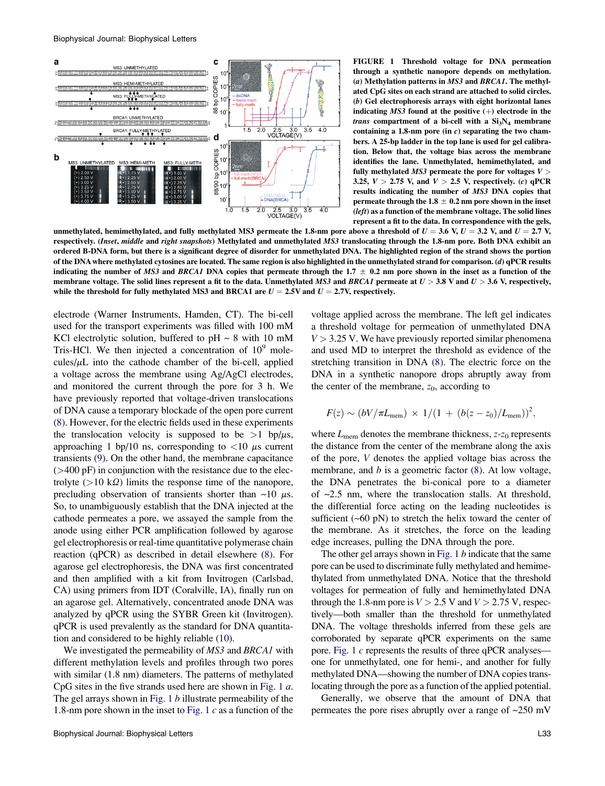<span id="page-1-0"></span>

FIGURE 1 Threshold voltage for DNA permeation through a synthetic nanopore depends on methylation. (a) Methylation patterns in MS3 and BRCA1. The methylated CpG sites on each strand are attached to solid circles. (b) Gel electrophoresis arrays with eight horizontal lanes indicating  $MS3$  found at the positive  $(+)$  electrode in the trans compartment of a bi-cell with a  $Si<sub>3</sub>N<sub>4</sub>$  membrane containing a 1.8-nm pore (in  $c$ ) separating the two chambers. A 25-bp ladder in the top lane is used for gel calibration. Below that, the voltage bias across the membrane identifies the lane. Unmethylated, hemimethylated, and fully methylated  $MS3$  permeate the pore for voltages  $V >$ 3.25,  $V > 2.75$  V, and  $V > 2.5$  V, respectively. (c) qPCR results indicating the number of MS3 DNA copies that permeate through the 1.8  $\pm$  0.2 nm pore shown in the inset  $(left)$  as a function of the membrane voltage. The solid lines represent a fit to the data. In correspondence with the gels,

unmethylated, hemimethylated, and fully methylated MS3 permeate the 1.8-nm pore above a threshold of  $U = 3.6$  V,  $U = 3.2$  V, and  $U = 2.7$  V, respectively. (Inset, middle and right snapshots) Methylated and unmethylated MS3 translocating through the 1.8-nm pore. Both DNA exhibit an ordered B-DNA form, but there is a significant degree of disorder for unmethylated DNA. The highlighted region of the strand shows the portion of the DNA where methylated cytosines are located. The same region is also highlighted in the unmethylated strand for comparison. (d) qPCR results indicating the number of MS3 and BRCA1 DNA copies that permeate through the 1.7  $\pm$  0.2 nm pore shown in the inset as a function of the membrane voltage. The solid lines represent a fit to the data. Unmethylated MS3 and BRCA1 permeate at  $U > 3.8$  V and  $U > 3.6$  V, respectively, while the threshold for fully methylated MS3 and BRCA1 are  $U = 2.5V$  and  $U = 2.7V$ , respectively.

electrode (Warner Instruments, Hamden, CT). The bi-cell used for the transport experiments was filled with 100 mM KCl electrolytic solution, buffered to  $pH \sim 8$  with 10 mM Tris-HCl. We then injected a concentration of  $10<sup>9</sup>$  molecules/ $\mu$ L into the cathode chamber of the bi-cell, applied a voltage across the membrane using Ag/AgCl electrodes, and monitored the current through the pore for 3 h. We have previously reported that voltage-driven translocations of DNA cause a temporary blockade of the open pore current ([8\)](#page-2-0). However, for the electric fields used in these experiments the translocation velocity is supposed to be  $>1$  bp/ $\mu$ s, approaching 1 bp/10 ns, corresponding to  $\langle 10 \mu s \rangle$  current transients [\(9](#page-2-0)). On the other hand, the membrane capacitance  $($ >400 pF $)$  in conjunction with the resistance due to the electrolyte ( $>10 \text{ k}\Omega$ ) limits the response time of the nanopore, precluding observation of transients shorter than  $\sim 10 \mu s$ . So, to unambiguously establish that the DNA injected at the cathode permeates a pore, we assayed the sample from the anode using either PCR amplification followed by agarose gel electrophoresis or real-time quantitative polymerase chain reaction (qPCR) as described in detail elsewhere ([8\)](#page-2-0). For agarose gel electrophoresis, the DNA was first concentrated and then amplified with a kit from Invitrogen (Carlsbad, CA) using primers from IDT (Coralville, IA), finally run on an agarose gel. Alternatively, concentrated anode DNA was analyzed by qPCR using the SYBR Green kit (Invitrogen). qPCR is used prevalently as the standard for DNA quantitation and considered to be highly reliable [\(10](#page-2-0)).

We investigated the permeability of MS3 and BRCA1 with different methylation levels and profiles through two pores with similar (1.8 nm) diameters. The patterns of methylated CpG sites in the five strands used here are shown in Fig. 1 a. The gel arrays shown in Fig. 1 b illustrate permeability of the 1.8-nm pore shown in the inset to Fig. 1  $c$  as a function of the voltage applied across the membrane. The left gel indicates a threshold voltage for permeation of unmethylated DNA  $V > 3.25$  V. We have previously reported similar phenomena and used MD to interpret the threshold as evidence of the stretching transition in DNA ([8\)](#page-2-0). The electric force on the DNA in a synthetic nanopore drops abruptly away from the center of the membrane,  $z_0$ , according to

$$
F(z) \sim (bV/\pi L_{\text{mem}}) \times 1/(1 + (b(z - z_0)/L_{\text{mem}}))^2
$$
,

where  $L_{\text{mem}}$  denotes the membrane thickness,  $z$ - $z_0$  represents the distance from the center of the membrane along the axis of the pore, V denotes the applied voltage bias across the membrane, and  $b$  is a geometric factor  $(8)$  $(8)$ . At low voltage, the DNA penetrates the bi-conical pore to a diameter of  $\sim$ 2.5 nm, where the translocation stalls. At threshold, the differential force acting on the leading nucleotides is sufficient  $({\sim}60 \text{ pN})$  to stretch the helix toward the center of the membrane. As it stretches, the force on the leading edge increases, pulling the DNA through the pore.

The other gel arrays shown in Fig.  $1 b$  indicate that the same pore can be used to discriminate fully methylated and hemimethylated from unmethylated DNA. Notice that the threshold voltages for permeation of fully and hemimethylated DNA through the 1.8-nm pore is  $V > 2.5$  V and  $V > 2.75$  V, respectively—both smaller than the threshold for unmethylated DNA. The voltage thresholds inferred from these gels are corroborated by separate qPCR experiments on the same pore. Fig. 1 c represents the results of three qPCR analyses one for unmethylated, one for hemi-, and another for fully methylated DNA—showing the number of DNA copies translocating through the pore as a function of the applied potential.

Generally, we observe that the amount of DNA that permeates the pore rises abruptly over a range of  $\sim$ 250 mV